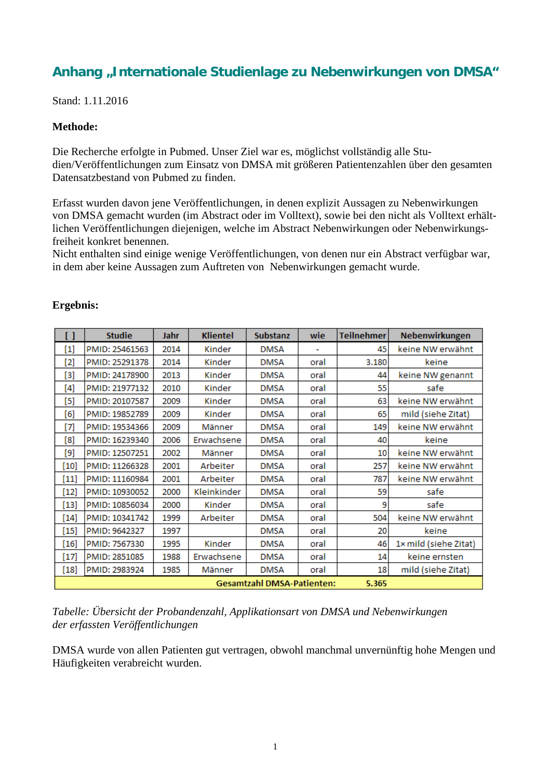### **Anhang "Internationale Studienlage zu Nebenwirkungen von DMSA"**

Stand: 1.11.2016

### **Methode:**

Die Recherche erfolgte in Pubmed. Unser Ziel war es, möglichst vollständig alle Studien/Veröffentlichungen zum Einsatz von DMSA mit größeren Patientenzahlen über den gesamten Datensatzbestand von Pubmed zu finden.

Erfasst wurden davon jene Veröffentlichungen, in denen explizit Aussagen zu Nebenwirkungen von DMSA gemacht wurden (im Abstract oder im Volltext), sowie bei den nicht als Volltext erhältlichen Veröffentlichungen diejenigen, welche im Abstract Nebenwirkungen oder Nebenwirkungsfreiheit konkret benennen.

Nicht enthalten sind einige wenige Veröffentlichungen, von denen nur ein Abstract verfügbar war, in dem aber keine Aussagen zum Auftreten von Nebenwirkungen gemacht wurde.

| I l                                        | <b>Studie</b>  | Jahr | <b>Klientel</b> | <b>Substanz</b> | wie  | <b>Teilnehmer</b> | Nebenwirkungen        |
|--------------------------------------------|----------------|------|-----------------|-----------------|------|-------------------|-----------------------|
| $\left[ 1\right]$                          | PMID: 25461563 | 2014 | Kinder          | <b>DMSA</b>     |      | 45                | keine NW erwähnt      |
| [2]                                        | PMID: 25291378 | 2014 | Kinder          | <b>DMSA</b>     | oral | 3.180             | keine                 |
| [3]                                        | PMID: 24178900 | 2013 | Kinder          | <b>DMSA</b>     | oral | 44                | keine NW genannt      |
| [4]                                        | PMID: 21977132 | 2010 | Kinder          | <b>DMSA</b>     | oral | 55                | safe                  |
| [5]                                        | PMID: 20107587 | 2009 | Kinder          | <b>DMSA</b>     | oral | 63                | keine NW erwähnt      |
| [6]                                        | PMID: 19852789 | 2009 | Kinder          | <b>DMSA</b>     | oral | 65                | mild (siehe Zitat)    |
| [7]                                        | PMID: 19534366 | 2009 | Männer          | <b>DMSA</b>     | oral | 149               | keine NW erwähnt      |
| [8]                                        | PMID: 16239340 | 2006 | Erwachsene      | <b>DMSA</b>     | oral | 40                | keine                 |
| [9]                                        | PMID: 12507251 | 2002 | Männer          | <b>DMSA</b>     | oral | 10                | keine NW erwähnt      |
| [10]                                       | PMID: 11266328 | 2001 | Arbeiter        | <b>DMSA</b>     | oral | 257               | keine NW erwähnt      |
| $[11]$                                     | PMID: 11160984 | 2001 | Arbeiter        | <b>DMSA</b>     | oral | 787               | keine NW erwähnt      |
| $[12]$                                     | PMID: 10930052 | 2000 | Kleinkinder     | <b>DMSA</b>     | oral | 59                | safe                  |
| $[13]$                                     | PMID: 10856034 | 2000 | Kinder          | <b>DMSA</b>     | oral | 9                 | safe                  |
| $[14]$                                     | PMID: 10341742 | 1999 | Arbeiter        | <b>DMSA</b>     | oral | 504               | keine NW erwähnt      |
| $[15]$                                     | PMID: 9642327  | 1997 |                 | <b>DMSA</b>     | oral | 20                | keine                 |
| $[16]$                                     | PMID: 7567330  | 1995 | Kinder          | <b>DMSA</b>     | oral | 46                | 1x mild (siehe Zitat) |
| $[17]$                                     | PMID: 2851085  | 1988 | Erwachsene      | <b>DMSA</b>     | oral | 14                | keine ernsten         |
| $[18]$                                     | PMID: 2983924  | 1985 | Männer          | <b>DMSA</b>     | oral | 18                | mild (siehe Zitat)    |
| <b>Gesamtzahl DMSA-Patienten:</b><br>5.365 |                |      |                 |                 |      |                   |                       |

#### **Ergebnis:**

*Tabelle: Übersicht der Probandenzahl, Applikationsart von DMSA und Nebenwirkungen der erfassten Veröffentlichungen*

DMSA wurde von allen Patienten gut vertragen, obwohl manchmal unvernünftig hohe Mengen und Häufigkeiten verabreicht wurden.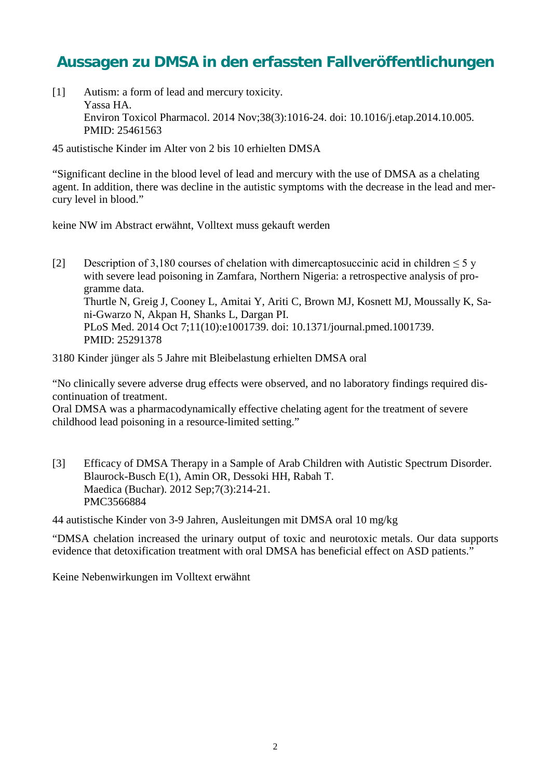# **Aussagen zu DMSA in den erfassten Fallveröffentlichungen**

[1] Autism: a form of lead and mercury toxicity. Yassa HA. Environ Toxicol Pharmacol. 2014 Nov;38(3):1016-24. doi: 10.1016/j.etap.2014.10.005. PMID: 25461563

45 autistische Kinder im Alter von 2 bis 10 erhielten DMSA

"Significant decline in the blood level of lead and mercury with the use of DMSA as a chelating agent. In addition, there was decline in the autistic symptoms with the decrease in the lead and mercury level in blood."

keine NW im Abstract erwähnt, Volltext muss gekauft werden

[2] Description of 3,180 courses of chelation with dimercaptosuccinic acid in children  $\leq 5$  y with severe lead poisoning in Zamfara, Northern Nigeria: a retrospective analysis of programme data. Thurtle N, Greig J, Cooney L, Amitai Y, Ariti C, Brown MJ, Kosnett MJ, Moussally K, Sani-Gwarzo N, Akpan H, Shanks L, Dargan PI. PLoS Med. 2014 Oct 7;11(10):e1001739. doi: 10.1371/journal.pmed.1001739. PMID: 25291378

3180 Kinder jünger als 5 Jahre mit Bleibelastung erhielten DMSA oral

"No clinically severe adverse drug effects were observed, and no laboratory findings required discontinuation of treatment.

Oral DMSA was a pharmacodynamically effective chelating agent for the treatment of severe childhood lead poisoning in a resource-limited setting."

[3] Efficacy of DMSA Therapy in a Sample of Arab Children with Autistic Spectrum Disorder. Blaurock-Busch E(1), Amin OR, Dessoki HH, Rabah T. Maedica (Buchar). 2012 Sep;7(3):214-21. PMC3566884

44 autistische Kinder von 3-9 Jahren, Ausleitungen mit DMSA oral 10 mg/kg

"DMSA chelation increased the urinary output of toxic and neurotoxic metals. Our data supports evidence that detoxification treatment with oral DMSA has beneficial effect on ASD patients."

Keine Nebenwirkungen im Volltext erwähnt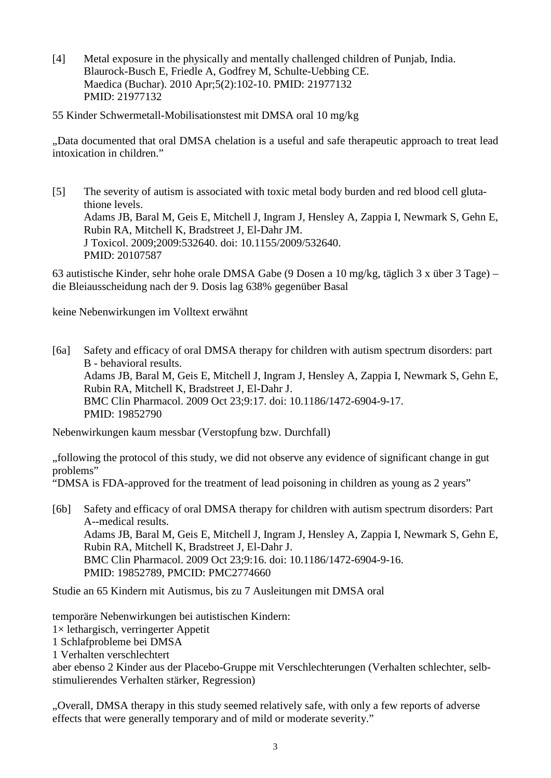- [4] Metal exposure in the physically and mentally challenged children of Punjab, India. Blaurock-Busch E, Friedle A, Godfrey M, Schulte-Uebbing CE. Maedica (Buchar). 2010 Apr;5(2):102-10. PMID: 21977132 PMID: 21977132
- 55 Kinder Schwermetall-Mobilisationstest mit DMSA oral 10 mg/kg

"Data documented that oral DMSA chelation is a useful and safe therapeutic approach to treat lead intoxication in children."

[5] The severity of autism is associated with toxic metal body burden and red blood cell glutathione levels. Adams JB, Baral M, Geis E, Mitchell J, Ingram J, Hensley A, Zappia I, Newmark S, Gehn E, Rubin RA, Mitchell K, Bradstreet J, El-Dahr JM. J Toxicol. 2009;2009:532640. doi: 10.1155/2009/532640. PMID: 20107587

63 autistische Kinder, sehr hohe orale DMSA Gabe (9 Dosen a 10 mg/kg, täglich 3 x über 3 Tage) – die Bleiausscheidung nach der 9. Dosis lag 638% gegenüber Basal

keine Nebenwirkungen im Volltext erwähnt

[6a] Safety and efficacy of oral DMSA therapy for children with autism spectrum disorders: part B - behavioral results. Adams JB, Baral M, Geis E, Mitchell J, Ingram J, Hensley A, Zappia I, Newmark S, Gehn E, Rubin RA, Mitchell K, Bradstreet J, El-Dahr J. BMC Clin Pharmacol. 2009 Oct 23;9:17. doi: 10.1186/1472-6904-9-17. PMID: 19852790

Nebenwirkungen kaum messbar (Verstopfung bzw. Durchfall)

"following the protocol of this study, we did not observe any evidence of significant change in gut problems"

"DMSA is FDA-approved for the treatment of lead poisoning in children as young as 2 years"

[6b] Safety and efficacy of oral DMSA therapy for children with autism spectrum disorders: Part A--medical results. Adams JB, Baral M, Geis E, Mitchell J, Ingram J, Hensley A, Zappia I, Newmark S, Gehn E, Rubin RA, Mitchell K, Bradstreet J, El-Dahr J. BMC Clin Pharmacol. 2009 Oct 23;9:16. doi: 10.1186/1472-6904-9-16. PMID: 19852789, PMCID: PMC2774660

Studie an 65 Kindern mit Autismus, bis zu 7 Ausleitungen mit DMSA oral

temporäre Nebenwirkungen bei autistischen Kindern:

 $1\times$  lethargisch, verringerter Appetit

1 Schlafprobleme bei DMSA

1 Verhalten verschlechtert

aber ebenso 2 Kinder aus der Placebo-Gruppe mit Verschlechterungen (Verhalten schlechter, selbstimulierendes Verhalten stärker, Regression)

"Overall, DMSA therapy in this study seemed relatively safe, with only a few reports of adverse effects that were generally temporary and of mild or moderate severity."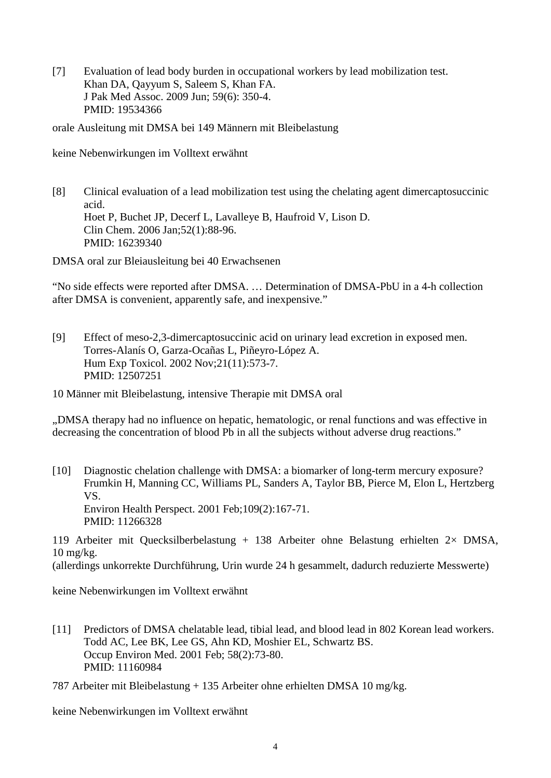[7] Evaluation of lead body burden in occupational workers by lead mobilization test. Khan DA, Qayyum S, Saleem S, Khan FA. J Pak Med Assoc. 2009 Jun; 59(6): 350-4. PMID: 19534366

orale Ausleitung mit DMSA bei 149 Männern mit Bleibelastung

keine Nebenwirkungen im Volltext erwähnt

[8] Clinical evaluation of a lead mobilization test using the chelating agent dimercaptosuccinic acid. Hoet P, Buchet JP, Decerf L, Lavalleye B, Haufroid V, Lison D. Clin Chem. 2006 Jan;52(1):88-96. PMID: 16239340

DMSA oral zur Bleiausleitung bei 40 Erwachsenen

"No side effects were reported after DMSA. … Determination of DMSA-PbU in a 4-h collection after DMSA is convenient, apparently safe, and inexpensive."

- [9] Effect of meso-2,3-dimercaptosuccinic acid on urinary lead excretion in exposed men. Torres-Alanís O, Garza-Ocañas L, Piñeyro-López A. Hum Exp Toxicol. 2002 Nov;21(11):573-7. PMID: 12507251
- 10 Männer mit Bleibelastung, intensive Therapie mit DMSA oral

"DMSA therapy had no influence on hepatic, hematologic, or renal functions and was effective in decreasing the concentration of blood Pb in all the subjects without adverse drug reactions."

[10] Diagnostic chelation challenge with DMSA: a biomarker of long-term mercury exposure? Frumkin H, Manning CC, Williams PL, Sanders A, Taylor BB, Pierce M, Elon L, Hertzberg VS. Environ Health Perspect. 2001 Feb;109(2):167-71. PMID: 11266328

119 Arbeiter mit Quecksilberbelastung + 138 Arbeiter ohne Belastung erhielten 2× DMSA, 10 mg/kg.

(allerdings unkorrekte Durchführung, Urin wurde 24 h gesammelt, dadurch reduzierte Messwerte)

keine Nebenwirkungen im Volltext erwähnt

[11] Predictors of DMSA chelatable lead, tibial lead, and blood lead in 802 Korean lead workers. Todd AC, Lee BK, Lee GS, Ahn KD, Moshier EL, Schwartz BS. Occup Environ Med. 2001 Feb; 58(2):73-80. PMID: 11160984

787 Arbeiter mit Bleibelastung + 135 Arbeiter ohne erhielten DMSA 10 mg/kg.

keine Nebenwirkungen im Volltext erwähnt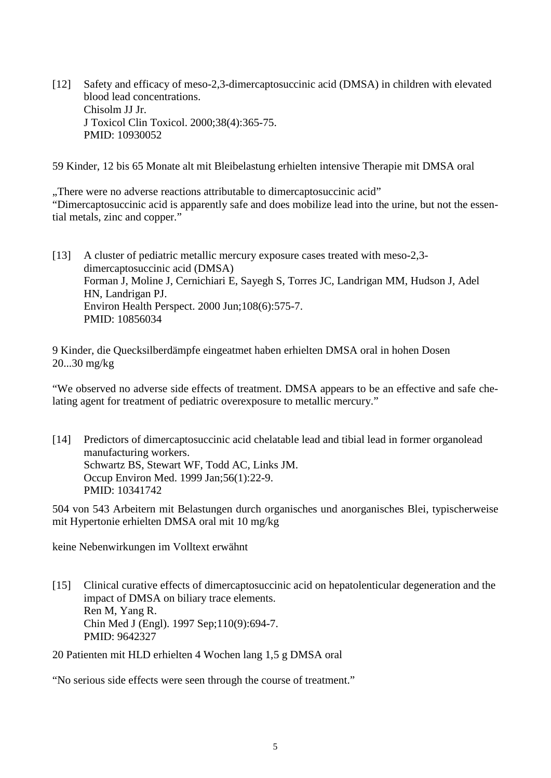[12] Safety and efficacy of meso-2,3-dimercaptosuccinic acid (DMSA) in children with elevated blood lead concentrations. Chisolm JJ Jr. J Toxicol Clin Toxicol. 2000;38(4):365-75. PMID: 10930052

59 Kinder, 12 bis 65 Monate alt mit Bleibelastung erhielten intensive Therapie mit DMSA oral

"There were no adverse reactions attributable to dimercaptosuccinic acid" "Dimercaptosuccinic acid is apparently safe and does mobilize lead into the urine, but not the essential metals, zinc and copper."

[13] A cluster of pediatric metallic mercury exposure cases treated with meso-2,3 dimercaptosuccinic acid (DMSA) Forman J, Moline J, Cernichiari E, Sayegh S, Torres JC, Landrigan MM, Hudson J, Adel HN, Landrigan PJ. Environ Health Perspect. 2000 Jun;108(6):575-7. PMID: 10856034

9 Kinder, die Quecksilberdämpfe eingeatmet haben erhielten DMSA oral in hohen Dosen 20...30 mg/kg

"We observed no adverse side effects of treatment. DMSA appears to be an effective and safe chelating agent for treatment of pediatric overexposure to metallic mercury."

[14] Predictors of dimercaptosuccinic acid chelatable lead and tibial lead in former organolead manufacturing workers. Schwartz BS, Stewart WF, Todd AC, Links JM. Occup Environ Med. 1999 Jan;56(1):22-9. PMID: 10341742

504 von 543 Arbeitern mit Belastungen durch organisches und anorganisches Blei, typischerweise mit Hypertonie erhielten DMSA oral mit 10 mg/kg

keine Nebenwirkungen im Volltext erwähnt

[15] Clinical curative effects of dimercaptosuccinic acid on hepatolenticular degeneration and the impact of DMSA on biliary trace elements. Ren M, Yang R. Chin Med J (Engl). 1997 Sep;110(9):694-7. PMID: 9642327

"No serious side effects were seen through the course of treatment."

<sup>20</sup> Patienten mit HLD erhielten 4 Wochen lang 1,5 g DMSA oral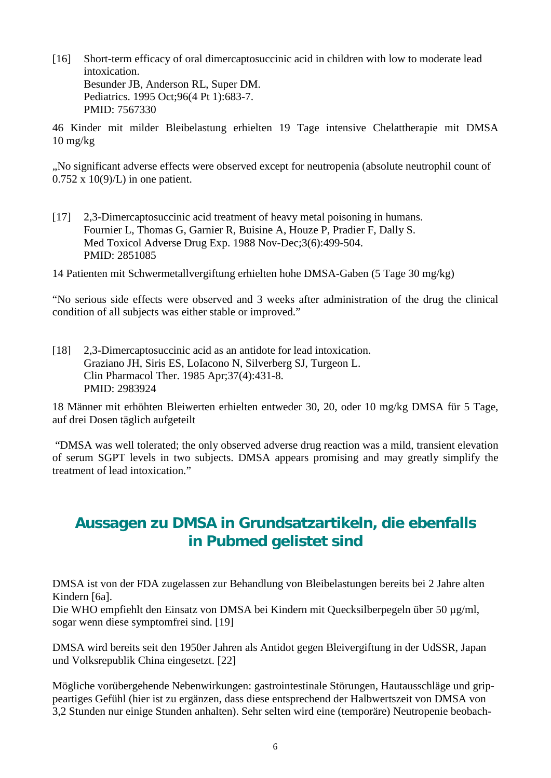[16] Short-term efficacy of oral dimercaptosuccinic acid in children with low to moderate lead intoxication. Besunder JB, Anderson RL, Super DM. Pediatrics. 1995 Oct;96(4 Pt 1):683-7. PMID: 7567330

46 Kinder mit milder Bleibelastung erhielten 19 Tage intensive Chelattherapie mit DMSA  $10 \text{ mg/kg}$ 

"No significant adverse effects were observed except for neutropenia (absolute neutrophil count of  $0.752 \times 10(9)/L$ ) in one patient.

[17] 2,3-Dimercaptosuccinic acid treatment of heavy metal poisoning in humans. Fournier L, Thomas G, Garnier R, Buisine A, Houze P, Pradier F, Dally S. Med Toxicol Adverse Drug Exp. 1988 Nov-Dec;3(6):499-504. PMID: 2851085

14 Patienten mit Schwermetallvergiftung erhielten hohe DMSA-Gaben (5 Tage 30 mg/kg)

"No serious side effects were observed and 3 weeks after administration of the drug the clinical condition of all subjects was either stable or improved."

[18] 2,3-Dimercaptosuccinic acid as an antidote for lead intoxication. Graziano JH, Siris ES, LoIacono N, Silverberg SJ, Turgeon L. Clin Pharmacol Ther. 1985 Apr;37(4):431-8. PMID: 2983924

18 Männer mit erhöhten Bleiwerten erhielten entweder 30, 20, oder 10 mg/kg DMSA für 5 Tage, auf drei Dosen täglich aufgeteilt

"DMSA was well tolerated; the only observed adverse drug reaction was a mild, transient elevation of serum SGPT levels in two subjects. DMSA appears promising and may greatly simplify the treatment of lead intoxication."

## **Aussagen zu DMSA in Grundsatzartikeln, die ebenfalls in Pubmed gelistet sind**

DMSA ist von der FDA zugelassen zur Behandlung von Bleibelastungen bereits bei 2 Jahre alten Kindern [6a].

Die WHO empfiehlt den Einsatz von DMSA bei Kindern mit Quecksilberpegeln über 50 µg/ml, sogar wenn diese symptomfrei sind. [19]

DMSA wird bereits seit den 1950er Jahren als Antidot gegen Bleivergiftung in der UdSSR, Japan und Volksrepublik China eingesetzt. [22]

Mögliche vorübergehende Nebenwirkungen: gastrointestinale Störungen, Hautausschläge und grippeartiges Gefühl (hier ist zu ergänzen, dass diese entsprechend der Halbwertszeit von DMSA von 3,2 Stunden nur einige Stunden anhalten). Sehr selten wird eine (temporäre) Neutropenie beobach-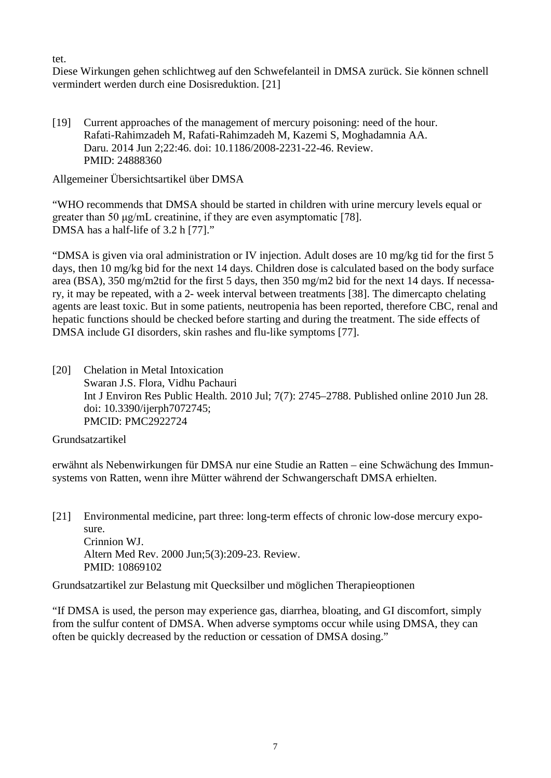### tet.

Diese Wirkungen gehen schlichtweg auf den Schwefelanteil in DMSA zurück. Sie können schnell vermindert werden durch eine Dosisreduktion. [21]

[19] Current approaches of the management of mercury poisoning: need of the hour. Rafati-Rahimzadeh M, Rafati-Rahimzadeh M, Kazemi S, Moghadamnia AA. Daru. 2014 Jun 2;22:46. doi: 10.1186/2008-2231-22-46. Review. PMID: 24888360

Allgemeiner Übersichtsartikel über DMSA

"WHO recommends that DMSA should be started in children with urine mercury levels equal or greater than 50 μg/mL creatinine, if they are even asymptomatic [78]. DMSA has a half-life of 3.2 h [77]."

"DMSA is given via oral administration or IV injection. Adult doses are 10 mg/kg tid for the first 5 days, then 10 mg/kg bid for the next 14 days. Children dose is calculated based on the body surface area (BSA), 350 mg/m2tid for the first 5 days, then 350 mg/m2 bid for the next 14 days. If necessary, it may be repeated, with a 2- week interval between treatments [38]. The dimercapto chelating agents are least toxic. But in some patients, neutropenia has been reported, therefore CBC, renal and hepatic functions should be checked before starting and during the treatment. The side effects of DMSA include GI disorders, skin rashes and flu-like symptoms [77].

[20] Chelation in Metal Intoxication Swaran J.S. Flora, Vidhu Pachauri Int J Environ Res Public Health. 2010 Jul; 7(7): 2745–2788. Published online 2010 Jun 28. doi: 10.3390/ijerph7072745; PMCID: PMC2922724

Grundsatzartikel

erwähnt als Nebenwirkungen für DMSA nur eine Studie an Ratten – eine Schwächung des Immunsystems von Ratten, wenn ihre Mütter während der Schwangerschaft DMSA erhielten.

[21] Environmental medicine, part three: long-term effects of chronic low-dose mercury exposure. Crinnion WJ. Altern Med Rev. 2000 Jun;5(3):209-23. Review. PMID: 10869102

Grundsatzartikel zur Belastung mit Quecksilber und möglichen Therapieoptionen

"If DMSA is used, the person may experience gas, diarrhea, bloating, and GI discomfort, simply from the sulfur content of DMSA. When adverse symptoms occur while using DMSA, they can often be quickly decreased by the reduction or cessation of DMSA dosing."